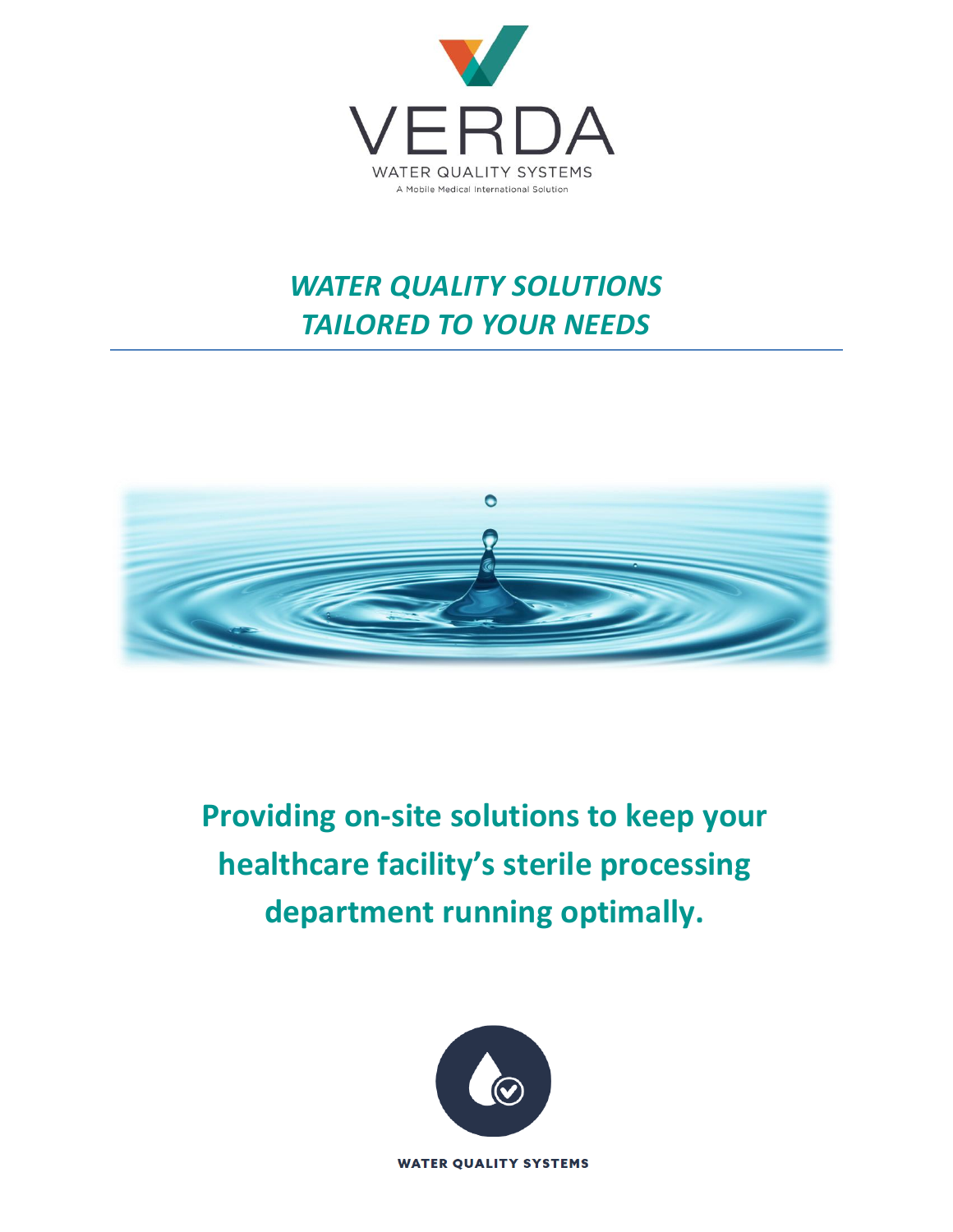

### *WATER QUALITY SOLUTIONS TAILORED TO YOUR NEEDS*



**Providing on-site solutions to keep your healthcare facility's sterile processing department running optimally.**

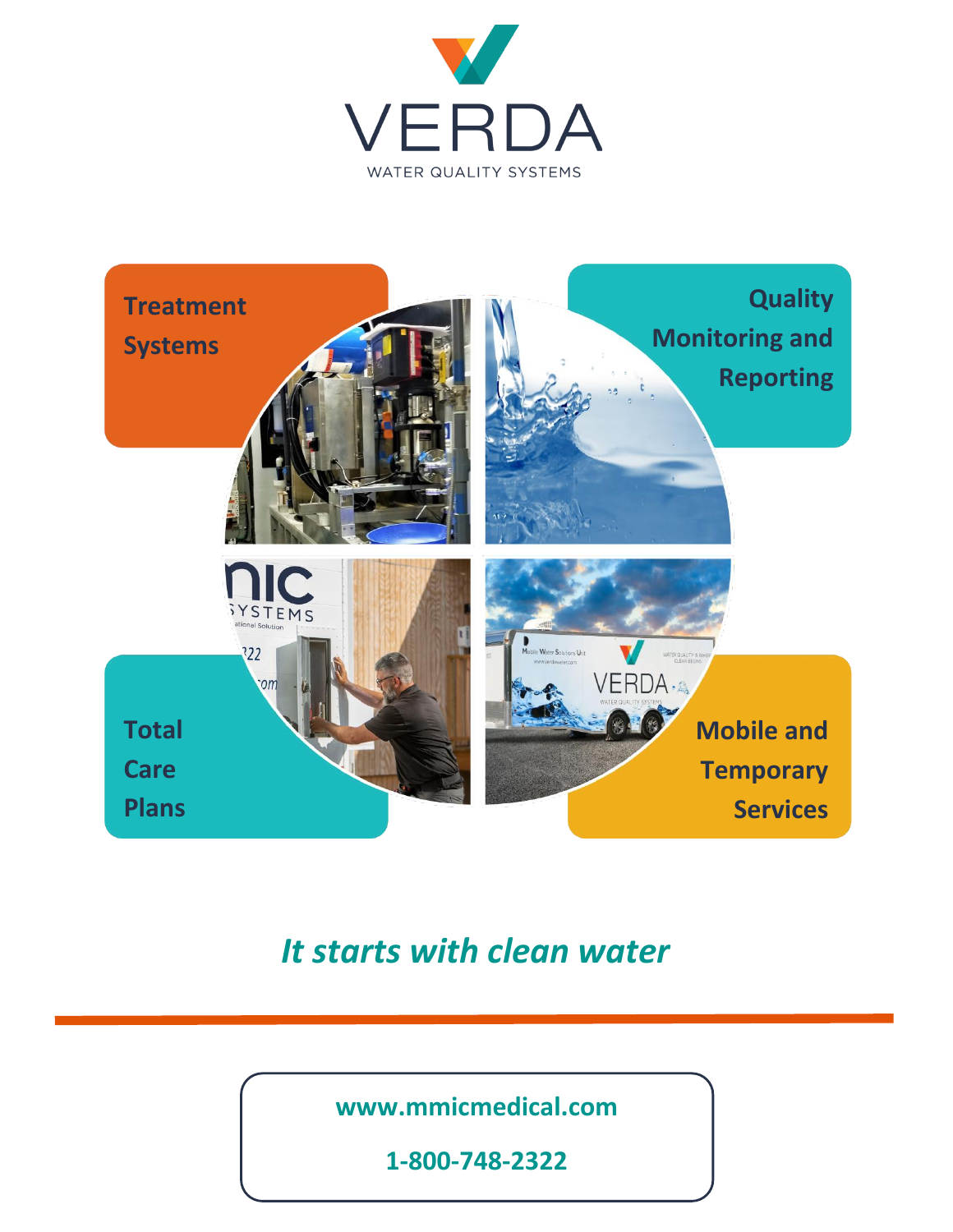



### *It starts with clean water*

**www.mmicmedical.com**

**1-800-748-2322**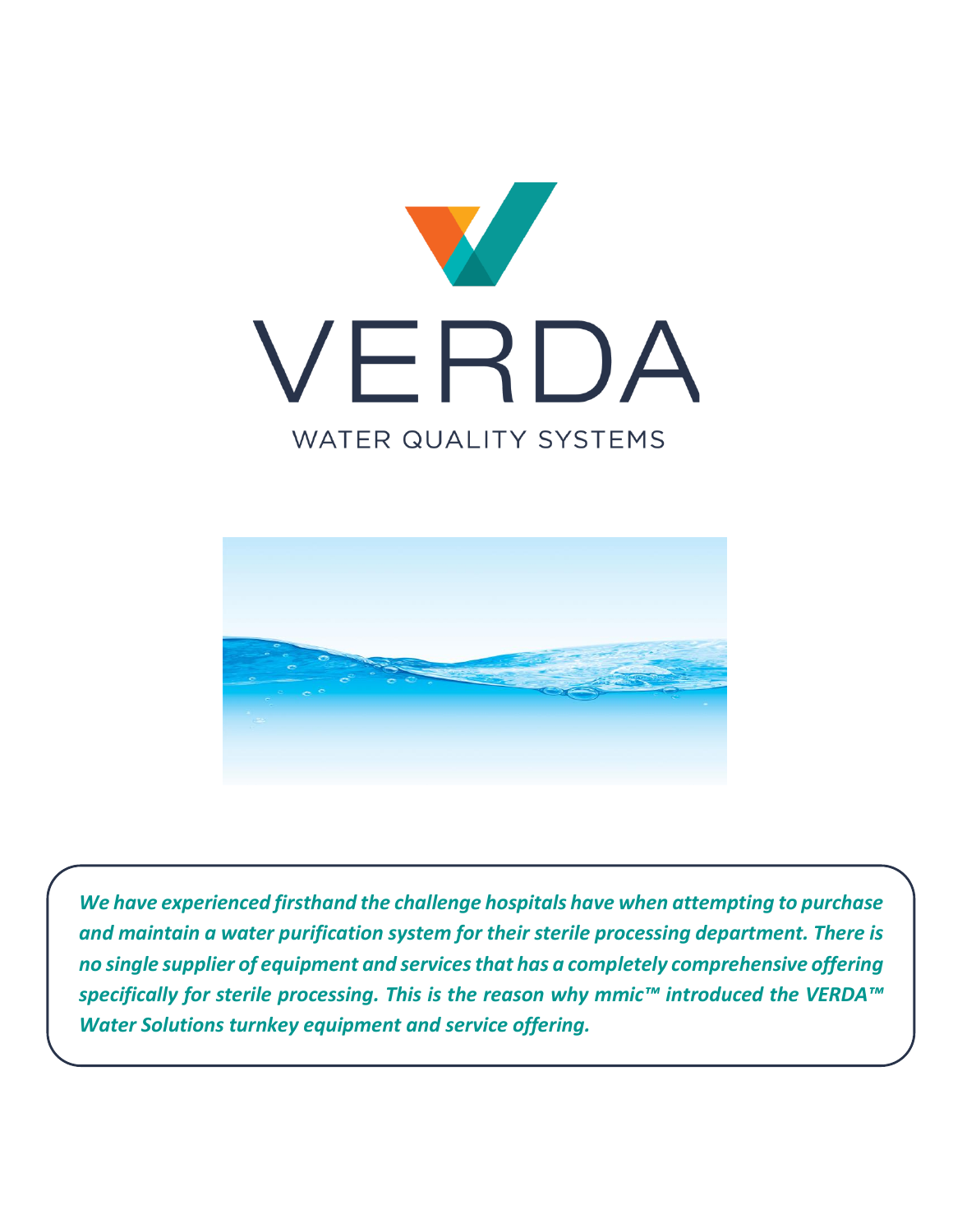



*We have experienced firsthand the challenge hospitals have when attempting to purchase and maintain a water purification system for their sterile processing department. There is no single supplier of equipment and services that has a completely comprehensive offering specifically for sterile processing. This is the reason why mmic™ introduced the VERDA™ Water Solutions turnkey equipment and service offering.*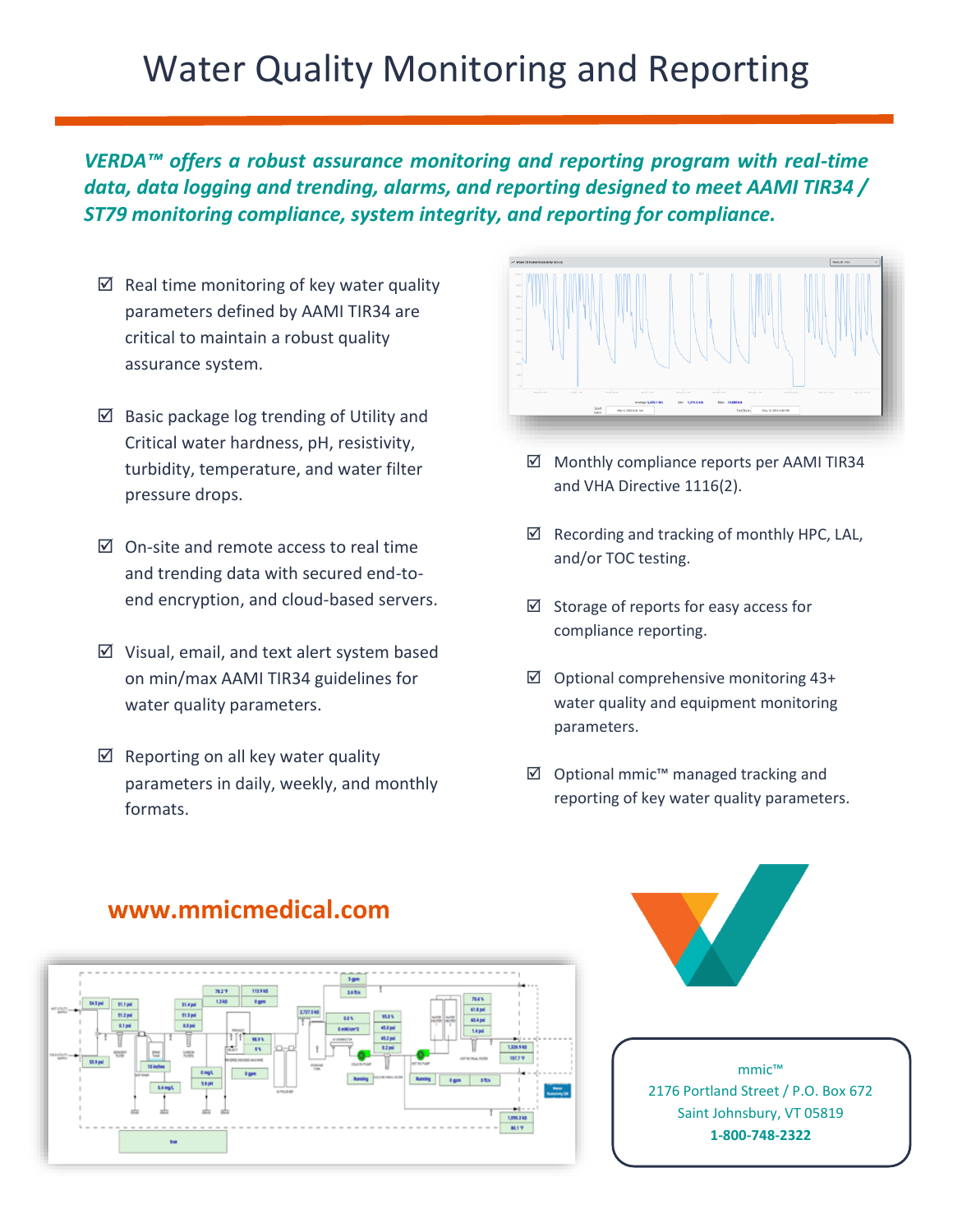# Water Quality Monitoring and Reporting

*VERDA™ offers a robust assurance monitoring and reporting program with real-time data, data logging and trending, alarms, and reporting designed to meet AAMI TIR34 / ST79 monitoring compliance, system integrity, and reporting for compliance.* 

- $\boxtimes$  Real time monitoring of key water quality parameters defined by AAMI TIR34 are critical to maintain a robust quality assurance system.
- $\boxtimes$  Basic package log trending of Utility and Critical water hardness, pH, resistivity, turbidity, temperature, and water filter pressure drops.
- $\boxtimes$  On-site and remote access to real time and trending data with secured end-toend encryption, and cloud-based servers.
- $\boxtimes$  Visual, email, and text alert system based on min/max AAMI TIR34 guidelines for water quality parameters.
- $\boxtimes$  Reporting on all key water quality parameters in daily, weekly, and monthly formats.



- Monthly compliance reports per AAMI TIR34 and VHA Directive 1116(2).
- $\boxtimes$  Recording and tracking of monthly HPC, LAL, and/or TOC testing.
- $\boxtimes$  Storage of reports for easy access for compliance reporting.
- $\boxtimes$  Optional comprehensive monitoring 43+ water quality and equipment monitoring parameters.
- $\boxtimes$  Optional mmic<sup>™</sup> managed tracking and reporting of key water quality parameters.





mmic™ 2176 Portland Street / P.O. Box 672 Saint Johnsbury, VT 05819 **1-800-748-2322**

#### **www.mmicmedical.com**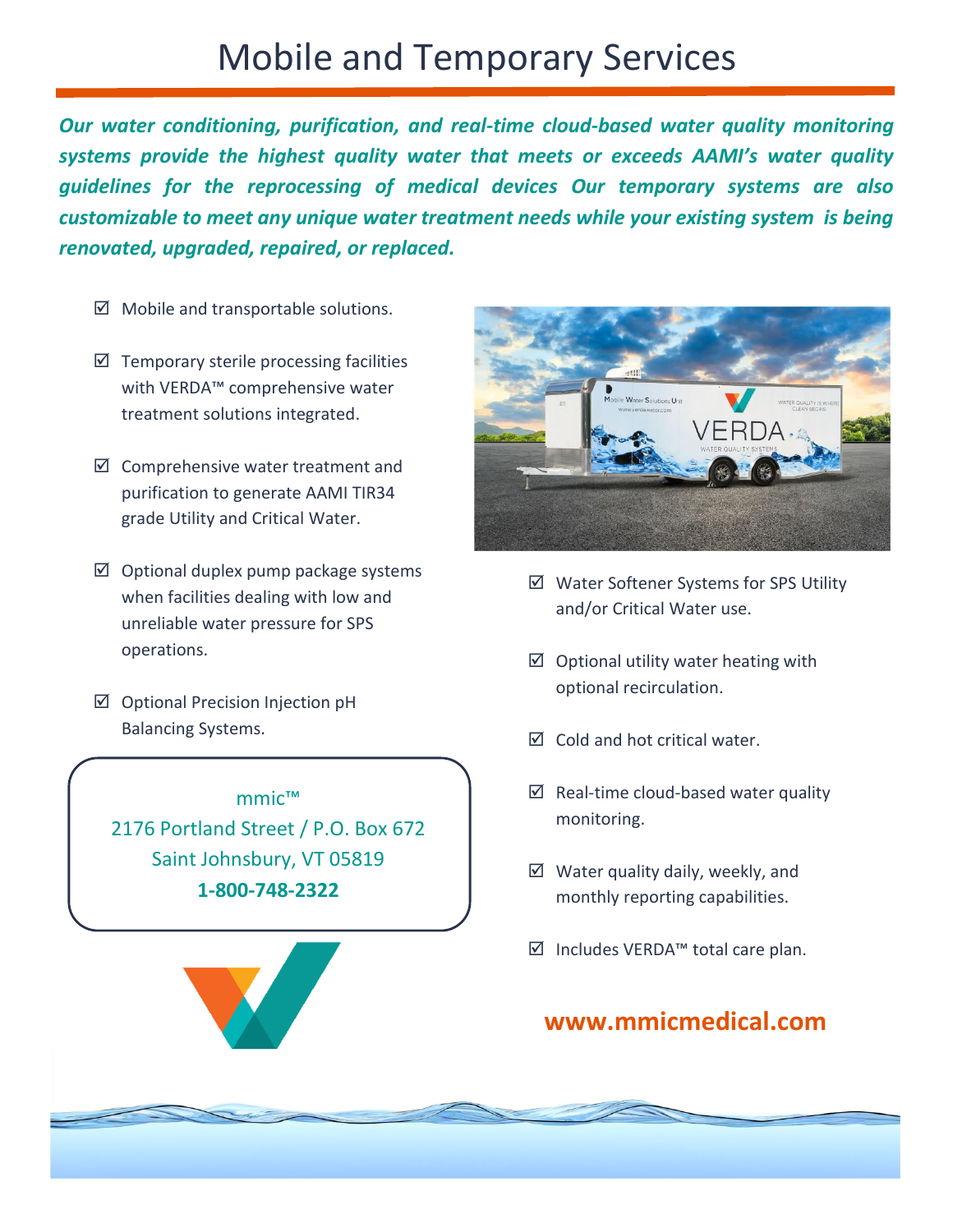## Mobile and Temporary Services

*Our water conditioning, purification, and real-time cloud-based water quality monitoring systems provide the highest quality water that meets or exceeds AAMI's water quality guidelines for the reprocessing of medical devices Our temporary systems are also customizable to meet any unique water treatment needs while your existing system is being renovated, upgraded, repaired, or replaced.* 

- $\boxtimes$  Mobile and transportable solutions.
- $\boxtimes$  Temporary sterile processing facilities with VERDA™ comprehensive water treatment solutions integrated.
- $\boxtimes$  Comprehensive water treatment and purification to generate AAMI TIR34 grade Utility and Critical Water.
- $\boxtimes$  Optional duplex pump package systems when facilities dealing with low and unreliable water pressure for SPS operations.
- $\boxtimes$  Optional Precision Injection pH Balancing Systems.

mmic™ 2176 Portland Street / P.O. Box 672 Saint Johnsbury, VT 05819 **1-800-748-2322**



- $\boxtimes$  Water Softener Systems for SPS Utility and/or Critical Water use.
- $\boxtimes$  Optional utility water heating with optional recirculation.
- $\boxtimes$  Cold and hot critical water.
- $\boxtimes$  Real-time cloud-based water quality monitoring.
- $\boxtimes$  Water quality daily, weekly, and monthly reporting capabilities.
- Includes VERDA™ total care plan.

#### **www.mmicmedical.com**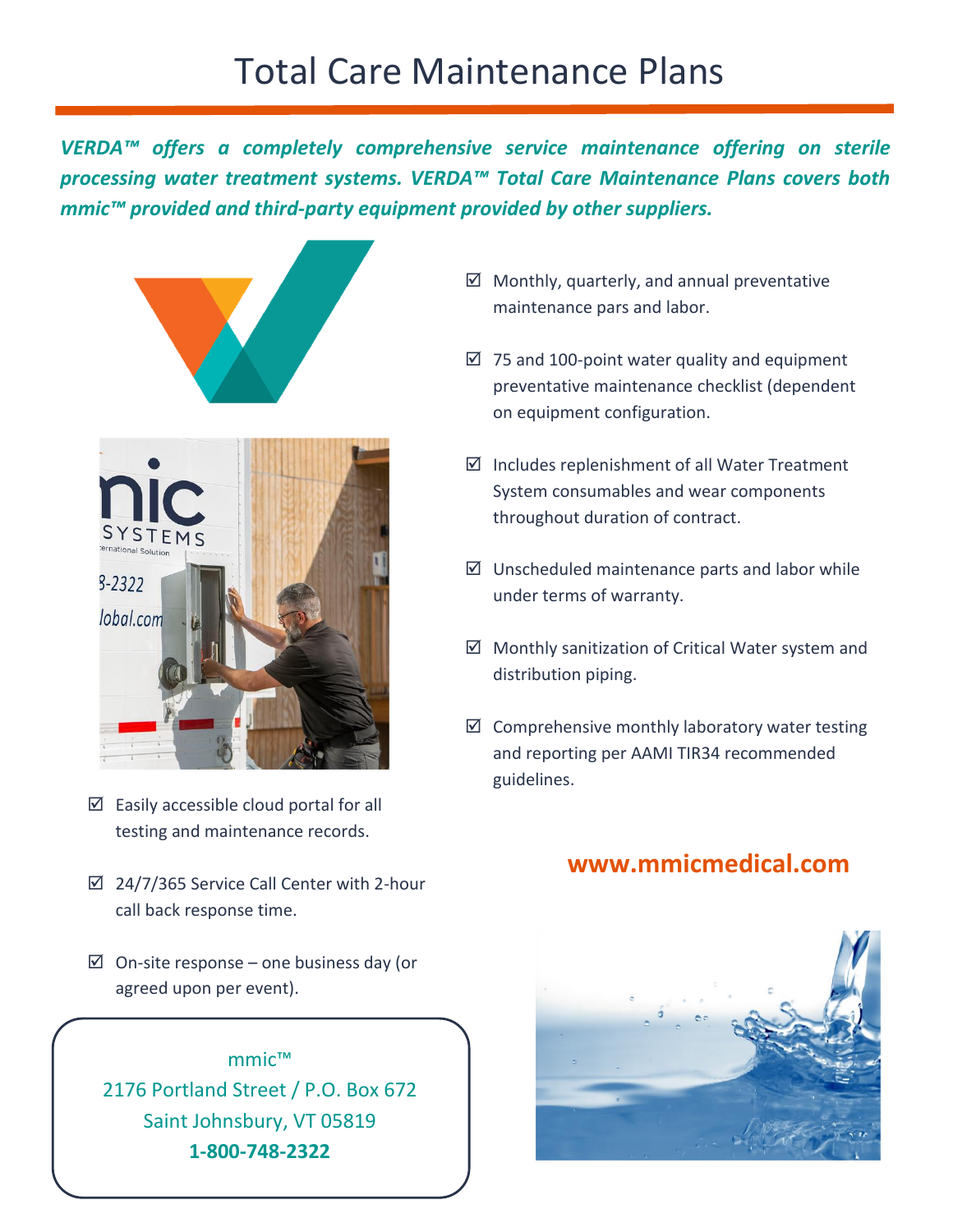*VERDA™ offers a completely comprehensive service maintenance offering on sterile processing water treatment systems. VERDA™ Total Care Maintenance Plans covers both mmic™ provided and third-party equipment provided by other suppliers.*



- $\boxtimes$  Easily accessible cloud portal for all testing and maintenance records.
- $\boxtimes$  24/7/365 Service Call Center with 2-hour call back response time.
- $\boxtimes$  On-site response one business day (or agreed upon per event).



- $\boxtimes$  Monthly, quarterly, and annual preventative maintenance pars and labor.
- $\boxtimes$  75 and 100-point water quality and equipment preventative maintenance checklist (dependent on equipment configuration.
- $\boxtimes$  Includes replenishment of all Water Treatment System consumables and wear components throughout duration of contract.
- $\boxtimes$  Unscheduled maintenance parts and labor while under terms of warranty.
- $\boxtimes$  Monthly sanitization of Critical Water system and distribution piping.
- $\boxtimes$  Comprehensive monthly laboratory water testing and reporting per AAMI TIR34 recommended guidelines.

#### **www.mmicmedical.com**